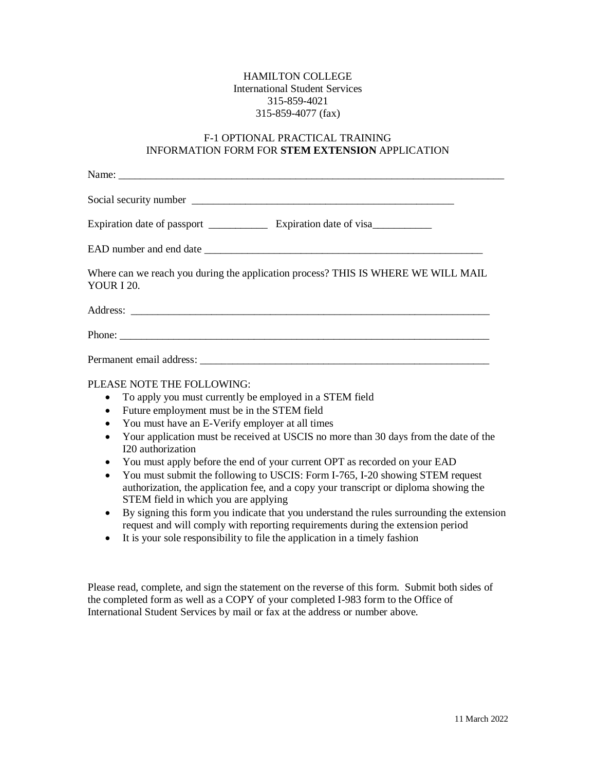## HAMILTON COLLEGE International Student Services 315-859-4021 315-859-4077 (fax)

## F-1 OPTIONAL PRACTICAL TRAINING INFORMATION FORM FOR **STEM EXTENSION** APPLICATION

| Where can we reach you during the application process? THIS IS WHERE WE WILL MAIL<br><b>YOUR I 20.</b> |
|--------------------------------------------------------------------------------------------------------|
|                                                                                                        |
|                                                                                                        |
|                                                                                                        |

## PLEASE NOTE THE FOLLOWING:

- To apply you must currently be employed in a STEM field
- Future employment must be in the STEM field
- You must have an E-Verify employer at all times
- Your application must be received at USCIS no more than 30 days from the date of the I20 authorization
- You must apply before the end of your current OPT as recorded on your EAD
- You must submit the following to USCIS: Form I-765, I-20 showing STEM request authorization, the application fee, and a copy your transcript or diploma showing the STEM field in which you are applying
- By signing this form you indicate that you understand the rules surrounding the extension request and will comply with reporting requirements during the extension period
- It is your sole responsibility to file the application in a timely fashion

Please read, complete, and sign the statement on the reverse of this form. Submit both sides of the completed form as well as a COPY of your completed I-983 form to the Office of International Student Services by mail or fax at the address or number above.